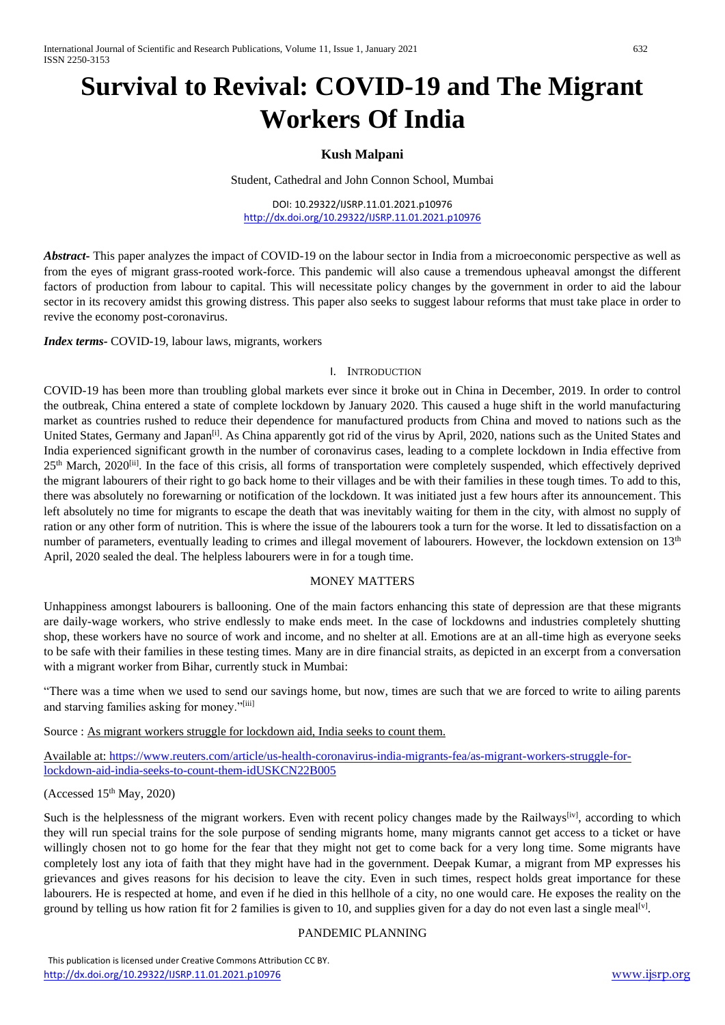# **Survival to Revival: COVID-19 and The Migrant Workers Of India**

### **Kush Malpani**

Student, Cathedral and John Connon School, Mumbai

DOI: 10.29322/IJSRP.11.01.2021.p10976 <http://dx.doi.org/10.29322/IJSRP.11.01.2021.p10976>

*Abstract***-** This paper analyzes the impact of COVID-19 on the labour sector in India from a microeconomic perspective as well as from the eyes of migrant grass-rooted work-force. This pandemic will also cause a tremendous upheaval amongst the different factors of production from labour to capital. This will necessitate policy changes by the government in order to aid the labour sector in its recovery amidst this growing distress. This paper also seeks to suggest labour reforms that must take place in order to revive the economy post-coronavirus.

*Index terms-* COVID-19, labour laws, migrants, workers

#### I. INTRODUCTION

COVID-19 has been more than troubling global markets ever since it broke out in China in December, 2019. In order to control the outbreak, China entered a state of complete lockdown by January 2020. This caused a huge shift in the world manufacturing market as countries rushed to reduce their dependence for manufactured products from China and moved to nations such as the United States, Germany and Japan<sup>[i]</sup>. As China apparently got rid of the virus by April, 2020, nations such as the United States and India experienced significant growth in the number of coronavirus cases, leading to a complete lockdown in India effective from 25<sup>th</sup> March, 2020<sup>[ii]</sup>. In the face of this crisis, all forms of transportation were completely suspended, which effectively deprived the migrant labourers of their right to go back home to their villages and be with their families in these tough times. To add to this, there was absolutely no forewarning or notification of the lockdown. It was initiated just a few hours after its announcement. This left absolutely no time for migrants to escape the death that was inevitably waiting for them in the city, with almost no supply of ration or any other form of nutrition. This is where the issue of the labourers took a turn for the worse. It led to dissatisfaction on a number of parameters, eventually leading to crimes and illegal movement of labourers. However, the lockdown extension on 13<sup>th</sup> April, 2020 sealed the deal. The helpless labourers were in for a tough time.

#### MONEY MATTERS

Unhappiness amongst labourers is ballooning. One of the main factors enhancing this state of depression are that these migrants are daily-wage workers, who strive endlessly to make ends meet. In the case of lockdowns and industries completely shutting shop, these workers have no source of work and income, and no shelter at all. Emotions are at an all-time high as everyone seeks to be safe with their families in these testing times. Many are in dire financial straits, as depicted in an excerpt from a conversation with a migrant worker from Bihar, currently stuck in Mumbai:

"There was a time when we used to send our savings home, but now, times are such that we are forced to write to ailing parents and starving families asking for money."[iii]

Source : As migrant workers struggle for lockdown aid, India seeks to count them.

Available at: [https://www.reuters.com/article/us-health-coronavirus-india-migrants-fea/as-migrant-workers-struggle-for](https://www.reuters.com/article/us-health-coronavirus-india-migrants-fea/as-migrant-workers-struggle-for-lockdown-aid-india-seeks-to-count-them-idUSKCN22B005)[lockdown-aid-india-seeks-to-count-them-idUSKCN22B005](https://www.reuters.com/article/us-health-coronavirus-india-migrants-fea/as-migrant-workers-struggle-for-lockdown-aid-india-seeks-to-count-them-idUSKCN22B005)

(Accessed  $15<sup>th</sup>$  May, 2020)

Such is the helplessness of the migrant workers. Even with recent policy changes made by the Railways<sup>[iv]</sup>, according to which they will run special trains for the sole purpose of sending migrants home, many migrants cannot get access to a ticket or have willingly chosen not to go home for the fear that they might not get to come back for a very long time. Some migrants have completely lost any iota of faith that they might have had in the government. Deepak Kumar, a migrant from MP expresses his grievances and gives reasons for his decision to leave the city. Even in such times, respect holds great importance for these labourers. He is respected at home, and even if he died in this hellhole of a city, no one would care. He exposes the reality on the ground by telling us how ration fit for 2 families is given to 10, and supplies given for a day do not even last a single meal<sup>[v]</sup>.

#### PANDEMIC PLANNING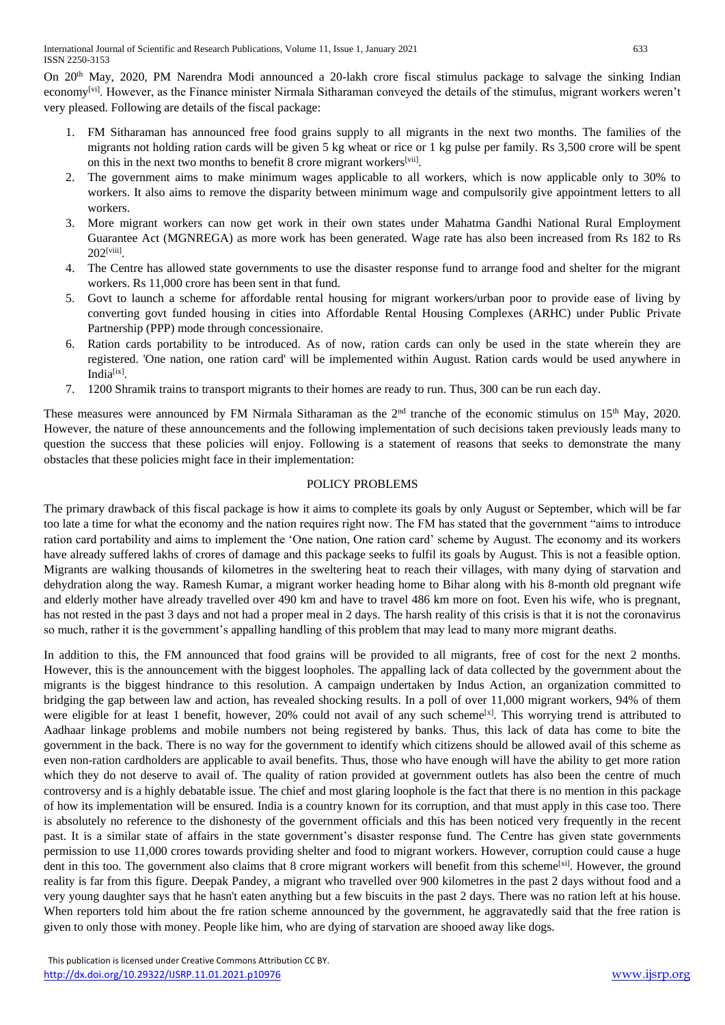On 20<sup>th</sup> May, 2020, PM Narendra Modi announced a 20-lakh crore fiscal stimulus package to salvage the sinking Indian economy<sup>[vi]</sup>. However, as the Finance minister Nirmala Sitharaman conveyed the details of the stimulus, migrant workers weren't very pleased. Following are details of the fiscal package:

- 1. FM Sitharaman has announced free food grains supply to all migrants in the next two months. The families of the migrants not holding ration cards will be given 5 kg wheat or rice or 1 kg pulse per family. Rs 3,500 crore will be spent on this in the next two months to benefit 8 crore migrant workers[vii].
- 2. The government aims to make minimum wages applicable to all workers, which is now applicable only to 30% to workers. It also aims to remove the disparity between minimum wage and compulsorily give appointment letters to all workers.
- 3. More migrant workers can now get work in their own states under Mahatma Gandhi National Rural Employment Guarantee Act (MGNREGA) as more work has been generated. Wage rate has also been increased from Rs 182 to Rs  $202^{[\text{viii}]}$ .
- 4. The Centre has allowed state governments to use the disaster response fund to arrange food and shelter for the migrant workers. Rs 11,000 crore has been sent in that fund.
- 5. Govt to launch a scheme for affordable rental housing for migrant workers/urban poor to provide ease of living by converting govt funded housing in cities into Affordable Rental Housing Complexes (ARHC) under Public Private Partnership (PPP) mode through concessionaire.
- 6. Ration cards portability to be introduced. As of now, ration cards can only be used in the state wherein they are registered. 'One nation, one ration card' will be implemented within August. Ration cards would be used anywhere in India<sup>[ix]</sup>.
- 7. 1200 Shramik trains to transport migrants to their homes are ready to run. Thus, 300 can be run each day.

These measures were announced by FM Nirmala Sitharaman as the 2<sup>nd</sup> tranche of the economic stimulus on 15<sup>th</sup> May, 2020. However, the nature of these announcements and the following implementation of such decisions taken previously leads many to question the success that these policies will enjoy. Following is a statement of reasons that seeks to demonstrate the many obstacles that these policies might face in their implementation:

#### POLICY PROBLEMS

The primary drawback of this fiscal package is how it aims to complete its goals by only August or September, which will be far too late a time for what the economy and the nation requires right now. The FM has stated that the government "aims to introduce ration card portability and aims to implement the 'One nation, One ration card' scheme by August. The economy and its workers have already suffered lakhs of crores of damage and this package seeks to fulfil its goals by August. This is not a feasible option. Migrants are walking thousands of kilometres in the sweltering heat to reach their villages, with many dying of starvation and dehydration along the way. Ramesh Kumar, a migrant worker heading home to Bihar along with his 8-month old pregnant wife and elderly mother have already travelled over 490 km and have to travel 486 km more on foot. Even his wife, who is pregnant, has not rested in the past 3 days and not had a proper meal in 2 days. The harsh reality of this crisis is that it is not the coronavirus so much, rather it is the government's appalling handling of this problem that may lead to many more migrant deaths.

In addition to this, the FM announced that food grains will be provided to all migrants, free of cost for the next 2 months. However, this is the announcement with the biggest loopholes. The appalling lack of data collected by the government about the migrants is the biggest hindrance to this resolution. A campaign undertaken by Indus Action, an organization committed to bridging the gap between law and action, has revealed shocking results. In a poll of over 11,000 migrant workers, 94% of them were eligible for at least 1 benefit, however, 20% could not avail of any such scheme<sup>[x]</sup>. This worrying trend is attributed to Aadhaar linkage problems and mobile numbers not being registered by banks. Thus, this lack of data has come to bite the government in the back. There is no way for the government to identify which citizens should be allowed avail of this scheme as even non-ration cardholders are applicable to avail benefits. Thus, those who have enough will have the ability to get more ration which they do not deserve to avail of. The quality of ration provided at government outlets has also been the centre of much controversy and is a highly debatable issue. The chief and most glaring loophole is the fact that there is no mention in this package of how its implementation will be ensured. India is a country known for its corruption, and that must apply in this case too. There is absolutely no reference to the dishonesty of the government officials and this has been noticed very frequently in the recent past. It is a similar state of affairs in the state government's disaster response fund. The Centre has given state governments permission to use 11,000 crores towards providing shelter and food to migrant workers. However, corruption could cause a huge dent in this too. The government also claims that 8 crore migrant workers will benefit from this scheme<sup>[xi]</sup>. However, the ground reality is far from this figure. Deepak Pandey, a migrant who travelled over 900 kilometres in the past 2 days without food and a very young daughter says that he hasn't eaten anything but a few biscuits in the past 2 days. There was no ration left at his house. When reporters told him about the fre ration scheme announced by the government, he aggravatedly said that the free ration is given to only those with money. People like him, who are dying of starvation are shooed away like dogs.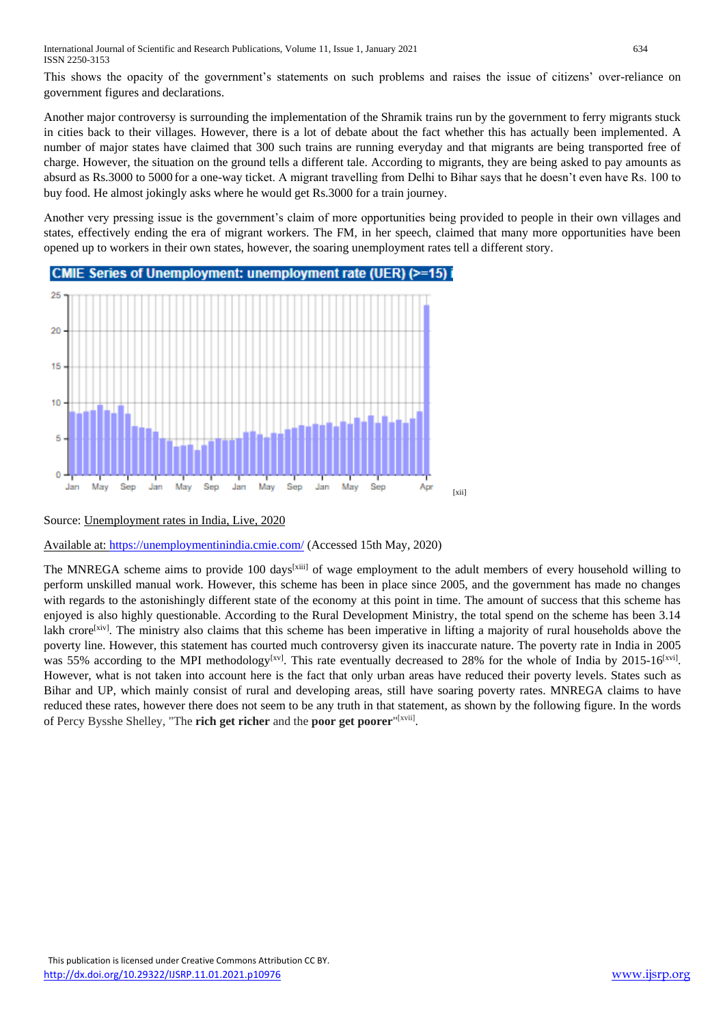This shows the opacity of the government's statements on such problems and raises the issue of citizens' over-reliance on government figures and declarations.

Another major controversy is surrounding the implementation of the Shramik trains run by the government to ferry migrants stuck in cities back to their villages. However, there is a lot of debate about the fact whether this has actually been implemented. A number of major states have claimed that 300 such trains are running everyday and that migrants are being transported free of charge. However, the situation on the ground tells a different tale. According to migrants, they are being asked to pay amounts as absurd as Rs.3000 to 5000 for a one-way ticket. A migrant travelling from Delhi to Bihar says that he doesn't even have Rs. 100 to buy food. He almost jokingly asks where he would get Rs.3000 for a train journey.

Another very pressing issue is the government's claim of more opportunities being provided to people in their own villages and states, effectively ending the era of migrant workers. The FM, in her speech, claimed that many more opportunities have been opened up to workers in their own states, however, the soaring unemployment rates tell a different story.



## Source: Unemployment rates in India, Live, 2020

Available at:<https://unemploymentinindia.cmie.com/> (Accessed 15th May, 2020)

The MNREGA scheme aims to provide 100 days<sup>[xiii]</sup> of wage employment to the adult members of every household willing to perform unskilled manual work. However, this scheme has been in place since 2005, and the government has made no changes with regards to the astonishingly different state of the economy at this point in time. The amount of success that this scheme has enjoyed is also highly questionable. According to the Rural Development Ministry, the total spend on the scheme has been 3.14 lakh crore<sup>[xiv]</sup>. The ministry also claims that this scheme has been imperative in lifting a majority of rural households above the poverty line. However, this statement has courted much controversy given its inaccurate nature. The poverty rate in India in 2005 was 55% according to the MPI methodology<sup>[xv]</sup>. This rate eventually decreased to 28% for the whole of India by 2015-16<sup>[xvi]</sup>. However, what is not taken into account here is the fact that only urban areas have reduced their poverty levels. States such as Bihar and UP, which mainly consist of rural and developing areas, still have soaring poverty rates. MNREGA claims to have reduced these rates, however there does not seem to be any truth in that statement, as shown by the following figure. In the words of Percy Bysshe Shelley, "The **rich get richer** and the **poor get poorer**" [xvii] .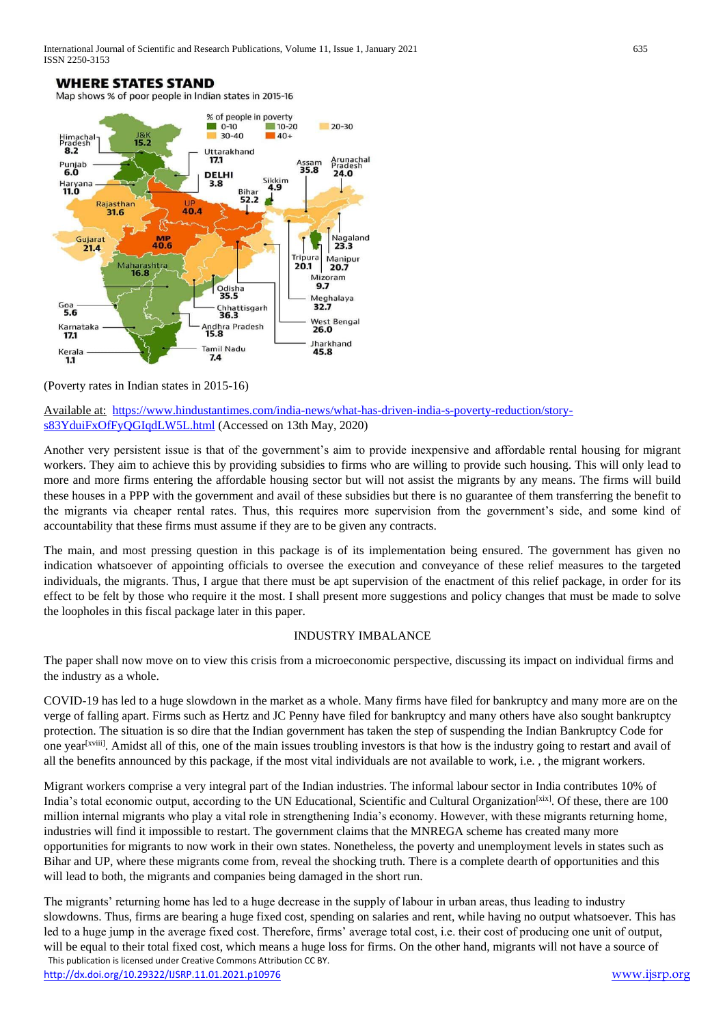

(Poverty rates in Indian states in 2015-16)

Available at: [https://www.hindustantimes.com/india-news/what-has-driven-india-s-poverty-reduction/story](https://www.hindustantimes.com/india-news/what-has-driven-india-s-poverty-reduction/story-s83YduiFxOfFyQGIqdLW5L.html)[s83YduiFxOfFyQGIqdLW5L.html](https://www.hindustantimes.com/india-news/what-has-driven-india-s-poverty-reduction/story-s83YduiFxOfFyQGIqdLW5L.html) (Accessed on 13th May, 2020)

Another very persistent issue is that of the government's aim to provide inexpensive and affordable rental housing for migrant workers. They aim to achieve this by providing subsidies to firms who are willing to provide such housing. This will only lead to more and more firms entering the affordable housing sector but will not assist the migrants by any means. The firms will build these houses in a PPP with the government and avail of these subsidies but there is no guarantee of them transferring the benefit to the migrants via cheaper rental rates. Thus, this requires more supervision from the government's side, and some kind of accountability that these firms must assume if they are to be given any contracts.

The main, and most pressing question in this package is of its implementation being ensured. The government has given no indication whatsoever of appointing officials to oversee the execution and conveyance of these relief measures to the targeted individuals, the migrants. Thus, I argue that there must be apt supervision of the enactment of this relief package, in order for its effect to be felt by those who require it the most. I shall present more suggestions and policy changes that must be made to solve the loopholes in this fiscal package later in this paper.

#### INDUSTRY IMBALANCE

The paper shall now move on to view this crisis from a microeconomic perspective, discussing its impact on individual firms and the industry as a whole.

COVID-19 has led to a huge slowdown in the market as a whole. Many firms have filed for bankruptcy and many more are on the verge of falling apart. Firms such as Hertz and JC Penny have filed for bankruptcy and many others have also sought bankruptcy protection. The situation is so dire that the Indian government has taken the step of suspending the Indian Bankruptcy Code for one year<sup>[xviii]</sup>. Amidst all of this, one of the main issues troubling investors is that how is the industry going to restart and avail of all the benefits announced by this package, if the most vital individuals are not available to work, i.e. , the migrant workers.

Migrant workers comprise a very integral part of the Indian industries. The informal labour sector in India contributes 10% of India's total economic output, according to the UN Educational, Scientific and Cultural Organization<sup>[xix]</sup>. Of these, there are 100 million internal migrants who play a vital role in strengthening India's economy. However, with these migrants returning home, industries will find it impossible to restart. The government claims that the MNREGA scheme has created many more opportunities for migrants to now work in their own states. Nonetheless, the poverty and unemployment levels in states such as Bihar and UP, where these migrants come from, reveal the shocking truth. There is a complete dearth of opportunities and this will lead to both, the migrants and companies being damaged in the short run.

 This publication is licensed under Creative Commons Attribution CC BY. The migrants' returning home has led to a huge decrease in the supply of labour in urban areas, thus leading to industry slowdowns. Thus, firms are bearing a huge fixed cost, spending on salaries and rent, while having no output whatsoever. This has led to a huge jump in the average fixed cost. Therefore, firms' average total cost, i.e. their cost of producing one unit of output, will be equal to their total fixed cost, which means a huge loss for firms. On the other hand, migrants will not have a source of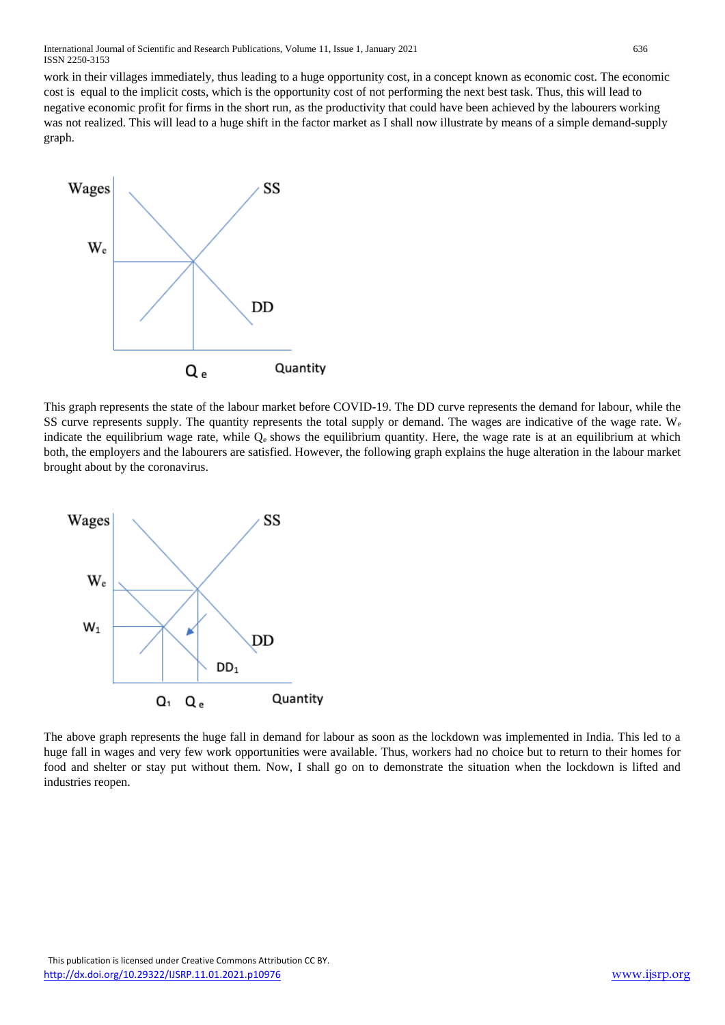work in their villages immediately, thus leading to a huge opportunity cost, in a concept known as economic cost. The economic cost is equal to the implicit costs, which is the opportunity cost of not performing the next best task. Thus, this will lead to negative economic profit for firms in the short run, as the productivity that could have been achieved by the labourers working was not realized. This will lead to a huge shift in the factor market as I shall now illustrate by means of a simple demand-supply graph.



This graph represents the state of the labour market before COVID-19. The DD curve represents the demand for labour, while the SS curve represents supply. The quantity represents the total supply or demand. The wages are indicative of the wage rate.  $W_e$ indicate the equilibrium wage rate, while  $Q_e$  shows the equilibrium quantity. Here, the wage rate is at an equilibrium at which both, the employers and the labourers are satisfied. However, the following graph explains the huge alteration in the labour market brought about by the coronavirus.



The above graph represents the huge fall in demand for labour as soon as the lockdown was implemented in India. This led to a huge fall in wages and very few work opportunities were available. Thus, workers had no choice but to return to their homes for food and shelter or stay put without them. Now, I shall go on to demonstrate the situation when the lockdown is lifted and industries reopen.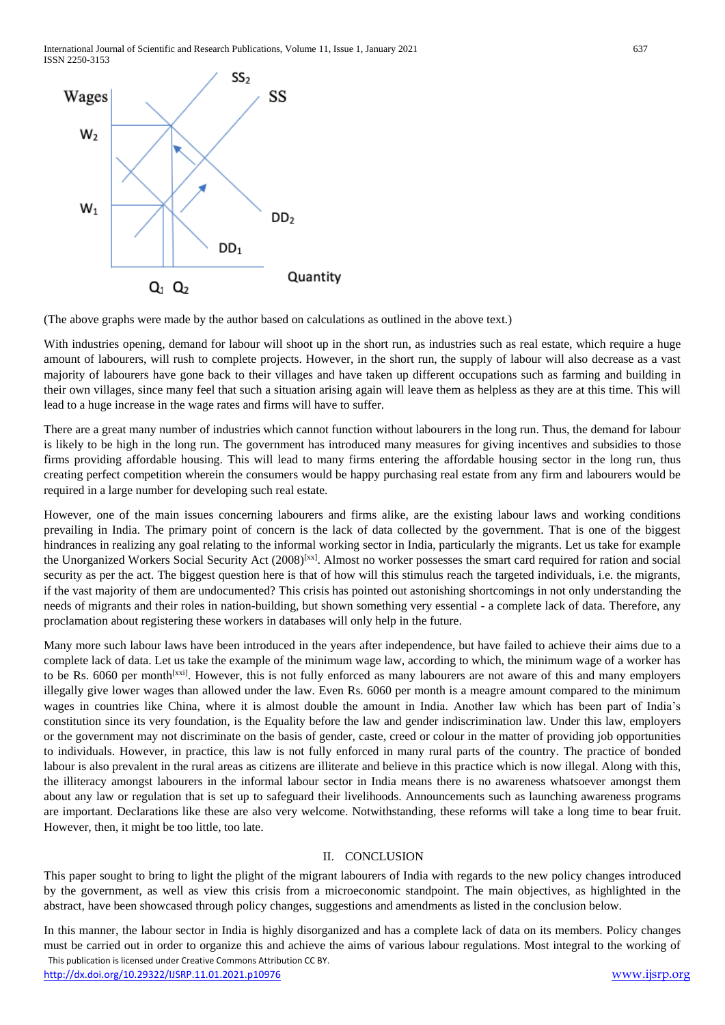International Journal of Scientific and Research Publications, Volume 11, Issue 1, January 2021 637 ISSN 2250-3153



(The above graphs were made by the author based on calculations as outlined in the above text.)

With industries opening, demand for labour will shoot up in the short run, as industries such as real estate, which require a huge amount of labourers, will rush to complete projects. However, in the short run, the supply of labour will also decrease as a vast majority of labourers have gone back to their villages and have taken up different occupations such as farming and building in their own villages, since many feel that such a situation arising again will leave them as helpless as they are at this time. This will lead to a huge increase in the wage rates and firms will have to suffer.

There are a great many number of industries which cannot function without labourers in the long run. Thus, the demand for labour is likely to be high in the long run. The government has introduced many measures for giving incentives and subsidies to those firms providing affordable housing. This will lead to many firms entering the affordable housing sector in the long run, thus creating perfect competition wherein the consumers would be happy purchasing real estate from any firm and labourers would be required in a large number for developing such real estate.

However, one of the main issues concerning labourers and firms alike, are the existing labour laws and working conditions prevailing in India. The primary point of concern is the lack of data collected by the government. That is one of the biggest hindrances in realizing any goal relating to the informal working sector in India, particularly the migrants. Let us take for example the Unorganized Workers Social Security Act  $(2008)^{[xx]}$ . Almost no worker possesses the smart card required for ration and social security as per the act. The biggest question here is that of how will this stimulus reach the targeted individuals, i.e. the migrants, if the vast majority of them are undocumented? This crisis has pointed out astonishing shortcomings in not only understanding the needs of migrants and their roles in nation-building, but shown something very essential - a complete lack of data. Therefore, any proclamation about registering these workers in databases will only help in the future.

Many more such labour laws have been introduced in the years after independence, but have failed to achieve their aims due to a complete lack of data. Let us take the example of the minimum wage law, according to which, the minimum wage of a worker has to be Rs. 6060 per month<sup>[xxi]</sup>. However, this is not fully enforced as many labourers are not aware of this and many employers illegally give lower wages than allowed under the law. Even Rs. 6060 per month is a meagre amount compared to the minimum wages in countries like China, where it is almost double the amount in India. Another law which has been part of India's constitution since its very foundation, is the Equality before the law and gender indiscrimination law. Under this law, employers or the government may not discriminate on the basis of gender, caste, creed or colour in the matter of providing job opportunities to individuals. However, in practice, this law is not fully enforced in many rural parts of the country. The practice of bonded labour is also prevalent in the rural areas as citizens are illiterate and believe in this practice which is now illegal. Along with this, the illiteracy amongst labourers in the informal labour sector in India means there is no awareness whatsoever amongst them about any law or regulation that is set up to safeguard their livelihoods. Announcements such as launching awareness programs are important. Declarations like these are also very welcome. Notwithstanding, these reforms will take a long time to bear fruit. However, then, it might be too little, too late.

#### II. CONCLUSION

This paper sought to bring to light the plight of the migrant labourers of India with regards to the new policy changes introduced by the government, as well as view this crisis from a microeconomic standpoint. The main objectives, as highlighted in the abstract, have been showcased through policy changes, suggestions and amendments as listed in the conclusion below.

 This publication is licensed under Creative Commons Attribution CC BY. In this manner, the labour sector in India is highly disorganized and has a complete lack of data on its members. Policy changes must be carried out in order to organize this and achieve the aims of various labour regulations. Most integral to the working of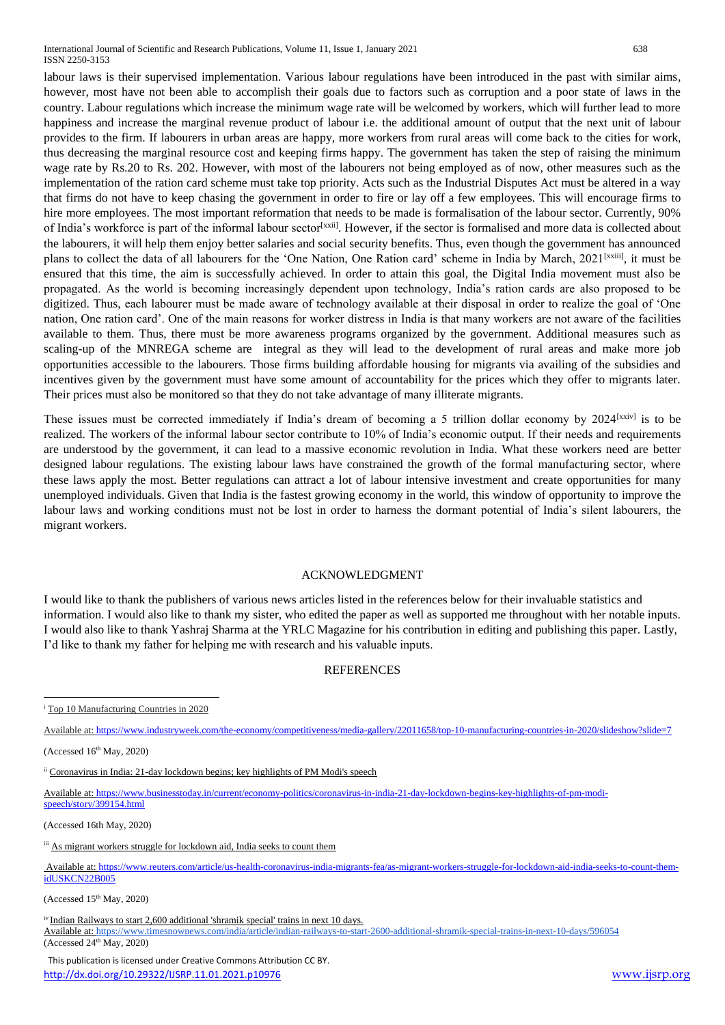labour laws is their supervised implementation. Various labour regulations have been introduced in the past with similar aims, however, most have not been able to accomplish their goals due to factors such as corruption and a poor state of laws in the country. Labour regulations which increase the minimum wage rate will be welcomed by workers, which will further lead to more happiness and increase the marginal revenue product of labour i.e. the additional amount of output that the next unit of labour provides to the firm. If labourers in urban areas are happy, more workers from rural areas will come back to the cities for work, thus decreasing the marginal resource cost and keeping firms happy. The government has taken the step of raising the minimum wage rate by Rs.20 to Rs. 202. However, with most of the labourers not being employed as of now, other measures such as the implementation of the ration card scheme must take top priority. Acts such as the Industrial Disputes Act must be altered in a way that firms do not have to keep chasing the government in order to fire or lay off a few employees. This will encourage firms to hire more employees. The most important reformation that needs to be made is formalisation of the labour sector. Currently, 90% of India's workforce is part of the informal labour sector<sup>[xxii]</sup>. However, if the sector is formalised and more data is collected about the labourers, it will help them enjoy better salaries and social security benefits. Thus, even though the government has announced plans to collect the data of all labourers for the 'One Nation, One Ration card' scheme in India by March, 2021<sup>[xxiii]</sup>, it must be ensured that this time, the aim is successfully achieved. In order to attain this goal, the Digital India movement must also be propagated. As the world is becoming increasingly dependent upon technology, India's ration cards are also proposed to be digitized. Thus, each labourer must be made aware of technology available at their disposal in order to realize the goal of 'One nation, One ration card'. One of the main reasons for worker distress in India is that many workers are not aware of the facilities available to them. Thus, there must be more awareness programs organized by the government. Additional measures such as scaling-up of the MNREGA scheme are integral as they will lead to the development of rural areas and make more job opportunities accessible to the labourers. Those firms building affordable housing for migrants via availing of the subsidies and incentives given by the government must have some amount of accountability for the prices which they offer to migrants later. Their prices must also be monitored so that they do not take advantage of many illiterate migrants.

These issues must be corrected immediately if India's dream of becoming a 5 trillion dollar economy by 2024<sup>[xxiv]</sup> is to be realized. The workers of the informal labour sector contribute to 10% of India's economic output. If their needs and requirements are understood by the government, it can lead to a massive economic revolution in India. What these workers need are better designed labour regulations. The existing labour laws have constrained the growth of the formal manufacturing sector, where these laws apply the most. Better regulations can attract a lot of labour intensive investment and create opportunities for many unemployed individuals. Given that India is the fastest growing economy in the world, this window of opportunity to improve the labour laws and working conditions must not be lost in order to harness the dormant potential of India's silent labourers, the migrant workers.

#### ACKNOWLEDGMENT

I would like to thank the publishers of various news articles listed in the references below for their invaluable statistics and information. I would also like to thank my sister, who edited the paper as well as supported me throughout with her notable inputs. I would also like to thank Yashraj Sharma at the YRLC Magazine for his contribution in editing and publishing this paper. Lastly, I'd like to thank my father for helping me with research and his valuable inputs.

#### **REFERENCES**

Available at: <https://www.industryweek.com/the-economy/competitiveness/media-gallery/22011658/top-10-manufacturing-countries-in-2020/slideshow?slide=7>

(Accessed  $16<sup>th</sup>$  May, 2020)

**.** 

Available at[: https://www.businesstoday.in/current/economy-politics/coronavirus-in-india-21-day-lockdown-begins-key-highlights-of-pm-modi](https://www.businesstoday.in/current/economy-politics/coronavirus-in-india-21-day-lockdown-begins-key-highlights-of-pm-modi-speech/story/399154.html)ech/story/399154.html

(Accessed 16th May, 2020)

Available at: [https://www.reuters.com/article/us-health-coronavirus-india-migrants-fea/as-migrant-workers-struggle-for-lockdown-aid-india-seeks-to-count-them](https://www.reuters.com/article/us-health-coronavirus-india-migrants-fea/as-migrant-workers-struggle-for-lockdown-aid-india-seeks-to-count-them-idUSKCN22B005)[idUSKCN22B005](https://www.reuters.com/article/us-health-coronavirus-india-migrants-fea/as-migrant-workers-struggle-for-lockdown-aid-india-seeks-to-count-them-idUSKCN22B005)

(Accessed  $15<sup>th</sup>$  May, 2020)

iv Indian Railways to start 2,600 additional 'shramik special' trains in next 10 days. Available at[: https://www.timesnownews.com/india/article/indian-railways-to-start-2600-additional-shramik-special-trains-in-next-10-days/596054](https://www.timesnownews.com/india/article/indian-railways-to-start-2600-additional-shramik-special-trains-in-next-10-days/596054)  $(Accessed 24<sup>th</sup>$  May, 2020)

<sup>&</sup>lt;sup>i</sup> Top 10 Manufacturing Countries in 2020

ii Coronavirus in India: 21-day lockdown begins; key highlights of PM Modi's speech

iii As migrant workers struggle for lockdown aid, India seeks to count them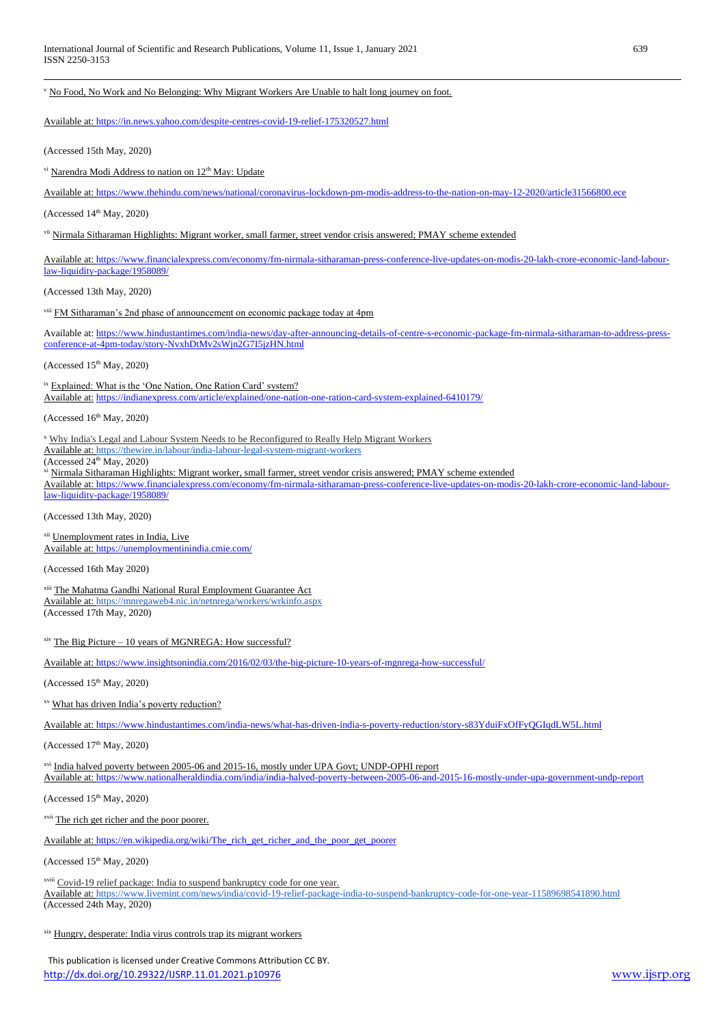<sup>v</sup> No Food, No Work and No Belonging: Why Migrant Workers Are Unable to halt long journey on foot.

Available at[: https://in.news.yahoo.com/despite-centres-covid-19-relief-175320527.html](https://in.news.yahoo.com/despite-centres-covid-19-relief-175320527.html)

(Accessed 15th May, 2020)

**.** 

vi Narendra Modi Address to nation on 12<sup>th</sup> May: Update

Available at[: https://www.thehindu.com/news/national/coronavirus-lockdown-pm-modis-address-to-the-nation-on-may-12-2020/article31566800.ece](https://www.thehindu.com/news/national/coronavirus-lockdown-pm-modis-address-to-the-nation-on-may-12-2020/article31566800.ece)

(Accessed  $14<sup>th</sup>$  May, 2020)

vii Nirmala Sitharaman Highlights: Migrant worker, small farmer, street vendor crisis answered; PMAY scheme extended

Available at: [https://www.financialexpress.com/economy/fm-nirmala-sitharaman-press-conference-live-updates-on-modis-20-lakh-crore-economic-land-labour](https://www.financialexpress.com/economy/fm-nirmala-sitharaman-press-conference-live-updates-on-modis-20-lakh-crore-economic-land-labour-law-liquidity-package/1958089/)[law-liquidity-package/1958089/](https://www.financialexpress.com/economy/fm-nirmala-sitharaman-press-conference-live-updates-on-modis-20-lakh-crore-economic-land-labour-law-liquidity-package/1958089/)

(Accessed 13th May, 2020)

viii FM Sitharaman's 2nd phase of announcement on economic package today at 4pm

Available at[: https://www.hindustantimes.com/india-news/day-after-announcing-details-of-centre-s-economic-package-fm-nirmala-sitharaman-to-address-press](https://www.hindustantimes.com/india-news/day-after-announcing-details-of-centre-s-economic-package-fm-nirmala-sitharaman-to-address-press-conference-at-4pm-today/story-NvxhDtMv2sWjn2G7I5jzHN.html)[conference-at-4pm-today/story-NvxhDtMv2sWjn2G7I5jzHN.html](https://www.hindustantimes.com/india-news/day-after-announcing-details-of-centre-s-economic-package-fm-nirmala-sitharaman-to-address-press-conference-at-4pm-today/story-NvxhDtMv2sWjn2G7I5jzHN.html)

(Accessed  $15<sup>th</sup>$  May, 2020)

ix Explained: What is the 'One Nation, One Ration Card' system?

Available at: <https://indianexpress.com/article/explained/one-nation-one-ration-card-system-explained-6410179/>

(Accessed  $16<sup>th</sup>$  May, 2020)

<sup>x</sup> Why India's Legal and Labour System Needs to be Reconfigured to Really Help Migrant Workers

Available at[: https://thewire.in/labour/india-labour-legal-system-migrant-workers](https://thewire.in/labour/india-labour-legal-system-migrant-workers)

 $(Accessed 24<sup>th</sup> Mav, 2020)$ 

xi Nirmala Sitharaman Highlights: Migrant worker, small farmer, street vendor crisis answered; PMAY scheme extended

Available at[: https://www.financialexpress.com/economy/fm-nirmala-sitharaman-press-conference-live-updates-on-modis-20-lakh-crore-economic-land-labour](https://www.financialexpress.com/economy/fm-nirmala-sitharaman-press-conference-live-updates-on-modis-20-lakh-crore-economic-land-labour-law-liquidity-package/1958089/)[law-liquidity-package/1958089/](https://www.financialexpress.com/economy/fm-nirmala-sitharaman-press-conference-live-updates-on-modis-20-lakh-crore-economic-land-labour-law-liquidity-package/1958089/)

(Accessed 13th May, 2020)

xii Unemployment rates in India, Live Available at: <https://unemploymentinindia.cmie.com/>

(Accessed 16th May 2020)

xiii The Mahatma Gandhi National Rural Employment Guarantee Act Available at[: https://mnregaweb4.nic.in/netnrega/workers/wrkinfo.aspx](https://mnregaweb4.nic.in/netnrega/workers/wrkinfo.aspx) (Accessed 17th May, 2020)

 $x$ iv The Big Picture – 10 years of MGNREGA: How successful?

Available at: <https://www.insightsonindia.com/2016/02/03/the-big-picture-10-years-of-mgnrega-how-successful/>

(Accessed  $15<sup>th</sup>$  May, 2020)

xv What has driven India's poverty reduction?

Available at: <https://www.hindustantimes.com/india-news/what-has-driven-india-s-poverty-reduction/story-s83YduiFxOfFyQGIqdLW5L.html>

 $(Accessed 17<sup>th</sup> Mav, 2020)$ 

xvi India halved poverty between 2005-06 and 2015-16, mostly under UPA Govt; UNDP-OPHI report

Available at: <https://www.nationalheraldindia.com/india/india-halved-poverty-between-2005-06-and-2015-16-mostly-under-upa-government-undp-report>

(Accessed  $15<sup>th</sup>$  May, 2020)

xvii The rich get richer and the poor poorer.

Available at[: https://en.wikipedia.org/wiki/The\\_rich\\_get\\_richer\\_and\\_the\\_poor\\_get\\_poorer](https://en.wikipedia.org/wiki/The_rich_get_richer_and_the_poor_get_poorer)

 $(Accessed 15<sup>th</sup> Mav, 2020)$ 

xviii Covid-19 relief package: India to suspend bankruptcy code for one year. Available at[: https://www.livemint.com/news/india/covid-19-relief-package-india-to-suspend-bankruptcy-code-for-one-year-11589698541890.html](https://www.livemint.com/news/india/covid-19-relief-package-india-to-suspend-bankruptcy-code-for-one-year-11589698541890.html) (Accessed 24th May, 2020)

xix Hungry, desperate: India virus controls trap its migrant workers

 This publication is licensed under Creative Commons Attribution CC BY. <http://dx.doi.org/10.29322/IJSRP.11.01.2021.p10976> [www.ijsrp.org](http://ijsrp.org/)